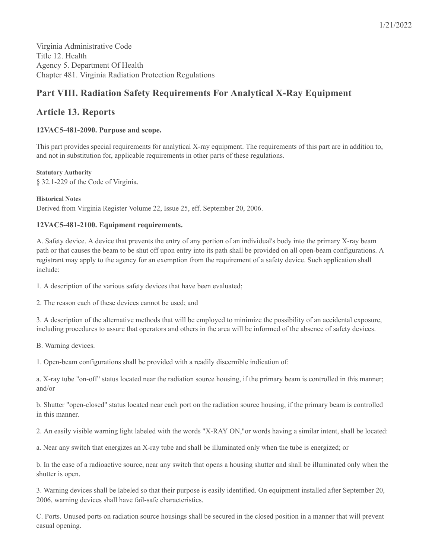# **Part VIII. Radiation Safety Requirements For Analytical X-Ray Equipment**

# **Article 13. Reports**

# **12VAC5-481-2090. Purpose and scope.**

This part provides special requirements for analytical X-ray equipment. The requirements of this part are in addition to, and not in substitution for, applicable requirements in other parts of these regulations.

#### **Statutory Authority**

§ 32.1-229 of the Code of Virginia.

#### **Historical Notes**

Derived from Virginia Register Volume 22, Issue 25, eff. September 20, 2006.

# **12VAC5-481-2100. Equipment requirements.**

A. Safety device. A device that prevents the entry of any portion of an individual's body into the primary X-ray beam path or that causes the beam to be shut off upon entry into its path shall be provided on all open-beam configurations. A registrant may apply to the agency for an exemption from the requirement of a safety device. Such application shall include:

1. A description of the various safety devices that have been evaluated;

2. The reason each of these devices cannot be used; and

3. A description of the alternative methods that will be employed to minimize the possibility of an accidental exposure, including procedures to assure that operators and others in the area will be informed of the absence of safety devices.

B. Warning devices.

1. Open-beam configurations shall be provided with a readily discernible indication of:

a. X-ray tube "on-off" status located near the radiation source housing, if the primary beam is controlled in this manner; and/or

b. Shutter "open-closed" status located near each port on the radiation source housing, if the primary beam is controlled in this manner.

2. An easily visible warning light labeled with the words "X-RAY ON,"or words having a similar intent, shall be located:

a. Near any switch that energizes an X-ray tube and shall be illuminated only when the tube is energized; or

b. In the case of a radioactive source, near any switch that opens a housing shutter and shall be illuminated only when the shutter is open.

3. Warning devices shall be labeled so that their purpose is easily identified. On equipment installed after September 20, 2006, warning devices shall have fail-safe characteristics.

C. Ports. Unused ports on radiation source housings shall be secured in the closed position in a manner that will prevent casual opening.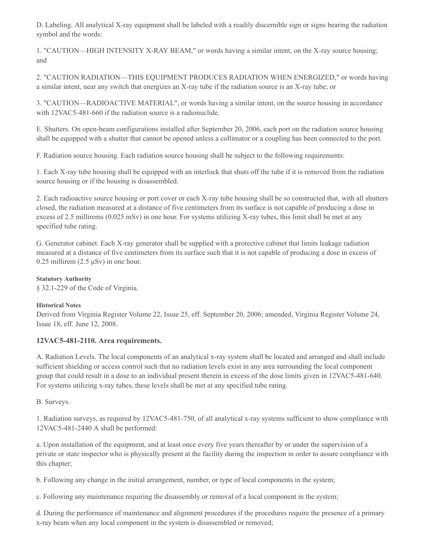D. Labeling. All analytical X-ray equipment shall be labeled with a readily discernible sign or signs bearing the radiation symbol and the words:

1. "CAUTION—HIGH INTENSITY X-RAY BEAM," or words having a similar intent, on the X-ray source housing; and

2. "CAUTION RADIATION—THIS EQUIPMENT PRODUCES RADIATION WHEN ENERGIZED," or words having a similar intent, near any switch that energizes an X-ray tube if the radiation source is an X-ray tube; or

3. "CAUTION—RADIOACTIVE MATERIAL", or words having a similar intent, on the source housing in accordance with 12VAC5-481-660 if the radiation source is a radionuclide.

E. Shutters. On open-beam configurations installed after September 20, 2006, each port on the radiation source housing shall be equipped with a shutter that cannot be opened unless a collimator or a coupling has been connected to the port.

F. Radiation source housing. Each radiation source housing shall be subject to the following requirements:

1. Each X-ray tube housing shall be equipped with an interlock that shuts off the tube if it is removed from the radiation source housing or if the housing is disassembled.

2. Each radioactive source housing or port cover or each X-ray tube housing shall be so constructed that, with all shutters closed, the radiation measured at a distance of five centimeters from its surface is not capable of producing a dose in excess of 2.5 millirems (0.025 mSv) in one hour. For systems utilizing X-ray tubes, this limit shall be met at any specified tube rating.

G. Generator cabinet. Each X-ray generator shall be supplied with a protective cabinet that limits leakage radiation measured at a distance of five centimeters from its surface such that it is not capable of producing a dose in excess of 0.25 millirem ( $2.5 \mu Sv$ ) in one hour.

#### **Statutory Authority**

§ 32.1-229 of the Code of Virginia.

# **Historical Notes**

Derived from Virginia Register Volume 22, Issue 25, eff. September 20, 2006; amended, Virginia Register Volume 24, Issue 18, eff. June 12, 2008.

# **12VAC5-481-2110. Area requirements.**

A. Radiation Levels. The local components of an analytical x-ray system shall be located and arranged and shall include sufficient shielding or access control such that no radiation levels exist in any area surrounding the local component group that could result in a dose to an individual present therein in excess of the dose limits given in 12VAC5-481-640. For systems utilizing x-ray tubes, these levels shall be met at any specified tube rating.

# B. Surveys.

1. Radiation surveys, as required by 12VAC5-481-750, of all analytical x-ray systems sufficient to show compliance with 12VAC5-481-2440 A shall be performed:

a. Upon installation of the equipment, and at least once every five years thereafter by or under the supervision of a private or state inspector who is physically present at the facility during the inspection in order to assure compliance with this chapter;

b. Following any change in the initial arrangement, number, or type of local components in the system;

c. Following any maintenance requiring the disassembly or removal of a local component in the system;

d. During the performance of maintenance and alignment procedures if the procedures require the presence of a primary x-ray beam when any local component in the system is disassembled or removed;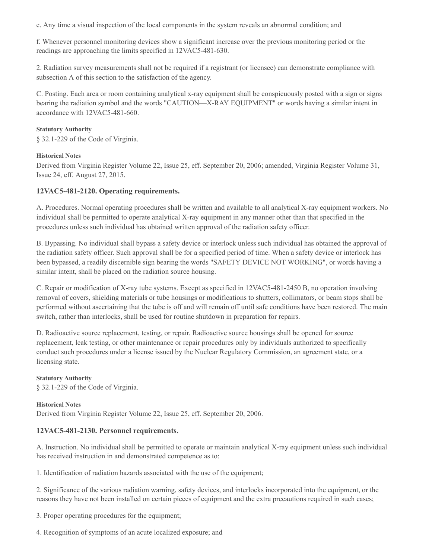e. Any time a visual inspection of the local components in the system reveals an abnormal condition; and

f. Whenever personnel monitoring devices show a significant increase over the previous monitoring period or the readings are approaching the limits specified in 12VAC5-481-630.

2. Radiation survey measurements shall not be required if a registrant (or licensee) can demonstrate compliance with subsection A of this section to the satisfaction of the agency.

C. Posting. Each area or room containing analytical x-ray equipment shall be conspicuously posted with a sign or signs bearing the radiation symbol and the words "CAUTION—X-RAY EQUIPMENT" or words having a similar intent in accordance with 12VAC5-481-660.

#### **Statutory Authority**

§ 32.1-229 of the Code of Virginia.

#### **Historical Notes**

Derived from Virginia Register Volume 22, Issue 25, eff. September 20, 2006; amended, Virginia Register Volume 31, Issue 24, eff. August 27, 2015.

# **12VAC5-481-2120. Operating requirements.**

A. Procedures. Normal operating procedures shall be written and available to all analytical X-ray equipment workers. No individual shall be permitted to operate analytical X-ray equipment in any manner other than that specified in the procedures unless such individual has obtained written approval of the radiation safety officer.

B. Bypassing. No individual shall bypass a safety device or interlock unless such individual has obtained the approval of the radiation safety officer. Such approval shall be for a specified period of time. When a safety device or interlock has been bypassed, a readily discernible sign bearing the words "SAFETY DEVICE NOT WORKING", or words having a similar intent, shall be placed on the radiation source housing.

C. Repair or modification of X-ray tube systems. Except as specified in 12VAC5-481-2450 B, no operation involving removal of covers, shielding materials or tube housings or modifications to shutters, collimators, or beam stops shall be performed without ascertaining that the tube is off and will remain off until safe conditions have been restored. The main switch, rather than interlocks, shall be used for routine shutdown in preparation for repairs.

D. Radioactive source replacement, testing, or repair. Radioactive source housings shall be opened for source replacement, leak testing, or other maintenance or repair procedures only by individuals authorized to specifically conduct such procedures under a license issued by the Nuclear Regulatory Commission, an agreement state, or a licensing state.

**Statutory Authority** § 32.1-229 of the Code of Virginia.

**Historical Notes** Derived from Virginia Register Volume 22, Issue 25, eff. September 20, 2006.

# **12VAC5-481-2130. Personnel requirements.**

A. Instruction. No individual shall be permitted to operate or maintain analytical X-ray equipment unless such individual has received instruction in and demonstrated competence as to:

1. Identification of radiation hazards associated with the use of the equipment;

2. Significance of the various radiation warning, safety devices, and interlocks incorporated into the equipment, or the reasons they have not been installed on certain pieces of equipment and the extra precautions required in such cases;

3. Proper operating procedures for the equipment;

4. Recognition of symptoms of an acute localized exposure; and